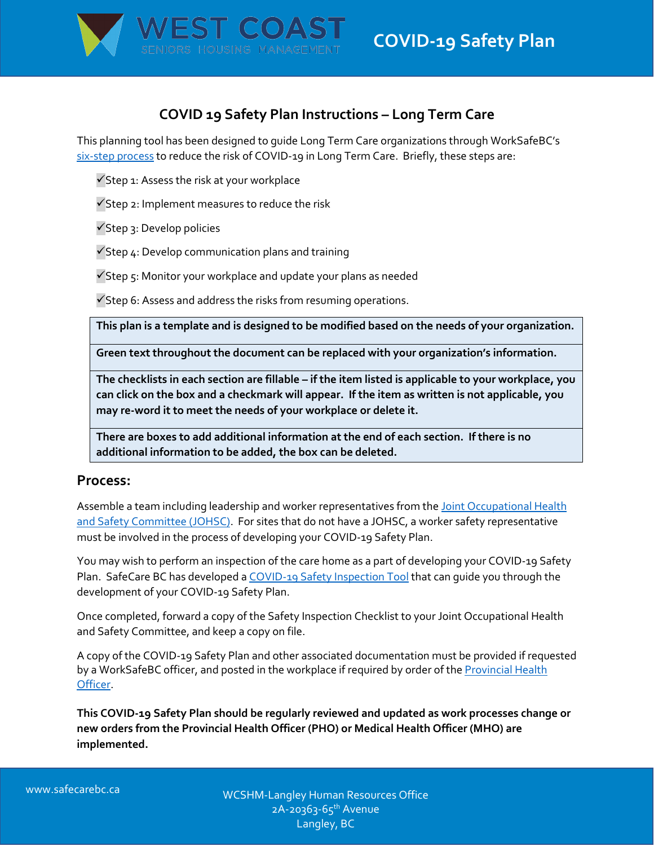

# **COVID 19 Safety Plan Instructions – Long Term Care**

This planning tool has been designed to guide Long Term Care organizations through WorkSafeBC's [six-step process](https://www.worksafebc.com/en/resources/health-safety/checklist/covid-19-safety-plan-0821?lang=en) to reduce the risk of COVID-19 in Long Term Care. Briefly, these steps are:

 $\checkmark$ Step 1: Assess the risk at your workplace

 $\checkmark$ Step 2: Implement measures to reduce the risk

Step 3: Develop policies

 $\checkmark$ Step 4: Develop communication plans and training

 $\checkmark$ Step 5: Monitor your workplace and update your plans as needed

 $\checkmark$  Step 6: Assess and address the risks from resuming operations.

**This plan is a template and is designed to be modified based on the needs of your organization.** 

**Green text throughout the document can be replaced with your organization's information.** 

**The checklists in each section are fillable – if the item listed is applicable to your workplace, you can click on the box and a checkmark will appear. If the item as written is not applicable, you may re-word it to meet the needs of your workplace or delete it.** 

**There are boxes to add additional information at the end of each section. If there is no additional information to be added, the box can be deleted.** 

# **Process:**

Assemble a team including leadership and worker representatives from the [Joint Occupational Health](https://www.worksafebc.com/en/health-safety/create-manage/joint-health-safety-committees?origin=s&returnurl=https%3A%2F%2Fwww.worksafebc.com%2Fen%2Fsearch%23q%3Djoint%2520health%2520and%2520safety%2520committee%26sort%3Drelevancy%26f%3Alanguage-facet%3D%5BEnglish%5D)  [and Safety Committee \(JOHSC\).](https://www.worksafebc.com/en/health-safety/create-manage/joint-health-safety-committees?origin=s&returnurl=https%3A%2F%2Fwww.worksafebc.com%2Fen%2Fsearch%23q%3Djoint%2520health%2520and%2520safety%2520committee%26sort%3Drelevancy%26f%3Alanguage-facet%3D%5BEnglish%5D) For sites that do not have a JOHSC, a worker safety representative must be involved in the process of developing your COVID-19 Safety Plan.

You may wish to perform an inspection of the care home as a part of developing your COVID-19 Safety Plan. SafeCare BC has developed [a COVID-19 Safety Inspection Tool](https://www.safecarebc.ca/wp-content/uploads/2022/01/Safety-Inspection-COVID-19-LTC-Final-January-2022.pdf) that can guide you through the development of your COVID-19 Safety Plan.

Once completed, forward a copy of the Safety Inspection Checklist to your Joint Occupational Health and Safety Committee, and keep a copy on file.

A copy of the COVID-19 Safety Plan and other associated documentation must be provided if requested by a WorkSafeBC officer, and posted in the workplace if required by order of the Provincial Health [Officer.](https://www2.gov.bc.ca/gov/content/health/about-bc-s-health-care-system/office-of-the-provincial-health-officer/current-health-topics/covid-19-novel-coronavirus)

**This COVID-19 Safety Plan should be regularly reviewed and updated as work processes change or new orders from the Provincial Health Officer (PHO) or Medical Health Officer (MHO) are implemented.**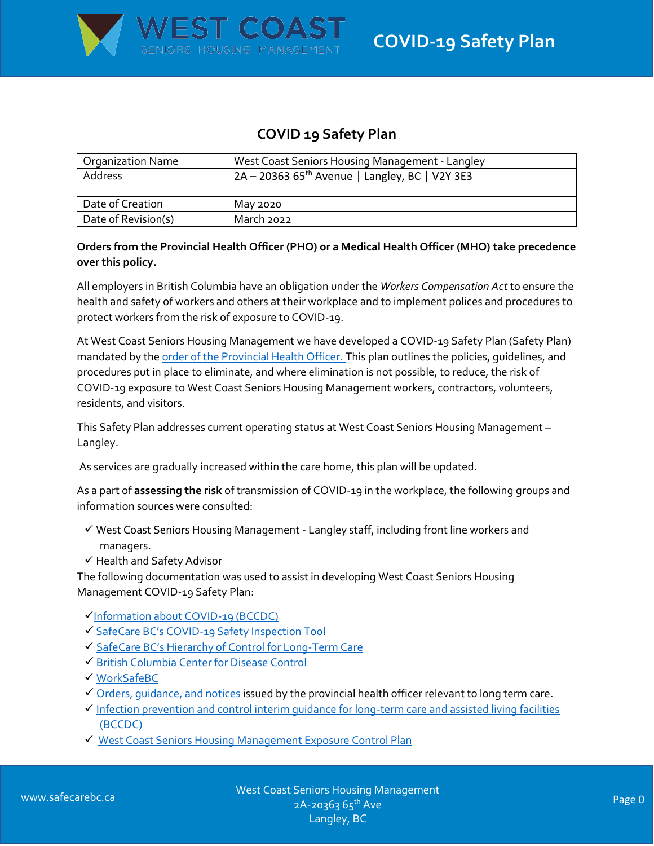

# **COVID 19 Safety Plan**

| <b>Organization Name</b> | West Coast Seniors Housing Management - Langley            |
|--------------------------|------------------------------------------------------------|
| Address                  | 2A – 20363 65 <sup>th</sup> Avenue   Langley, BC   V2Y 3E3 |
| Date of Creation         | May 2020                                                   |
| Date of Revision(s)      | March 2022                                                 |

## **Orders from the Provincial Health Officer (PHO) or a Medical Health Officer (MHO) take precedence over this policy.**

All employers in British Columbia have an obligation under the *Workers Compensation Act* to ensure the health and safety of workers and others at their workplace and to implement polices and procedures to protect workers from the risk of exposure to COVID-19.

At West Coast Seniors Housing Management we have developed a COVID-19 Safety Plan (Safety Plan) mandated by th[e order of the Provincial Health Officer. T](https://www2.gov.bc.ca/gov/content/health/about-bc-s-health-care-system/office-of-the-provincial-health-officer/current-health-topics/covid-19-novel-coronavirus)his plan outlines the policies, guidelines, and procedures put in place to eliminate, and where elimination is not possible, to reduce, the risk of COVID-19 exposure to West Coast Seniors Housing Management workers, contractors, volunteers, residents, and visitors.

This Safety Plan addresses current operating status at West Coast Seniors Housing Management – Langley.

As services are gradually increased within the care home, this plan will be updated.

As a part of **assessing the risk** of transmission of COVID-19 in the workplace, the following groups and information sources were consulted:

- $\checkmark$  West Coast Seniors Housing Management Langley staff, including front line workers and managers.
- $\checkmark$  Health and Safety Advisor

The following documentation was used to assist in developing West Coast Seniors Housing Management COVID-19 Safety Plan:

- [Information about COVID-19 \(BCCDC\)](http://www.bccdc.ca/health-info/diseases-conditions/covid-19/about-covid-19/)
- √ SafeCare BC's COVID[-19 Safety Inspection Tool](https://www.safecarebc.ca/wp-content/uploads/2022/01/Safety-Inspection-COVID-19-LTC-Final-January-2022.pdf)
- [SafeCare BC's Hierarchy of Control for Long](https://www.safecarebc.ca/wp-content/uploads/2020/04/COVID-19-LTC.pdf)-Term Care
- [British Columbia Center for Disease Control](http://www.bccdc.ca/health-professionals/clinical-resources/covid-19-care/clinical-care/long-term-care-facilities-assisted-living)
- [WorkSafeBC](https://www.worksafebc.com/en/covid-19/covid-19-prevention)
- $\checkmark$  Orders, quidance, and notices issued by the provincial health officer relevant to long term care.
- $\checkmark$  Infection prevention and control interim guidance for long-term care and assisted living facilities [\(BCCDC\)](http://www.bccdc.ca/Health-Info-Site/Documents/COVID19_LongTermCareAssistedLiving.pdf)
- ◆ West Coast Seniors Housing Management Exposure Control Plan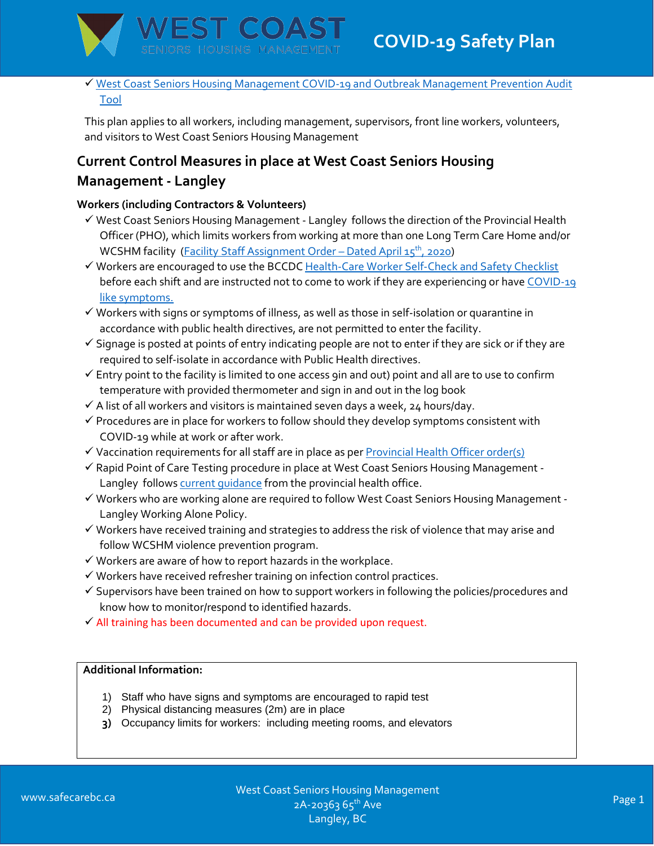

 [West Coast Seniors Housing Management COVID-19 and Outbreak Management Prevention Audit](file://///rc-file/public/COVID19/-%20COVID%20in%20a%20Box/Audits/COVID-19%20Prevention%20Audit%20Tool_CYCLE2_RosemaryHeightsSeniorsVillage-AL-2020%2009%2003.xlsx)  [Tool](file://///rc-file/public/COVID19/-%20COVID%20in%20a%20Box/Audits/COVID-19%20Prevention%20Audit%20Tool_CYCLE2_RosemaryHeightsSeniorsVillage-AL-2020%2009%2003.xlsx)

This plan applies to all workers, including management, supervisors, front line workers, volunteers, and visitors to West Coast Seniors Housing Management

# **Current Control Measures in place at West Coast Seniors Housing Management - Langley**

# **Workers (including Contractors & Volunteers)**

- $\checkmark$  West Coast Seniors Housing Management Langley follows the direction of the Provincial Health Officer (PHO), which limits workers from working at more than one Long Term Care Home and/or WCSHM facility [\(Facility Staff Assignment Order](https://www2.gov.bc.ca/assets/gov/health/about-bc-s-health-care-system/office-of-the-provincial-health-officer/covid-19/covid-19-pho-order-long-term-care-facility-staff-assignment.pdf) - Dated April 15<sup>th</sup>, 2020)
- Workers are encouraged to use the BCCDC [Health-Care Worker Self-Check and Safety Checklist](http://www.bccdc.ca/Health-Professionals-Site/Documents/COVID19_HCWSelfCheckSafetyChecklist.pdf) before each shift and are instructed not to come to work if they are experiencing or have COVID-19 [like symptoms.](http://www.bccdc.ca/health-info/diseases-conditions/covid-19/about-covid-19/symptoms)
- $\checkmark$  Workers with signs or symptoms of illness, as well as those in self-isolation or quarantine in accordance with public health directives, are not permitted to enter the facility.
- $\checkmark$  Signage is posted at points of entry indicating people are not to enter if they are sick or if they are required to self-isolate in accordance with Public Health directives.
- $\checkmark$  Entry point to the facility is limited to one access 9in and out) point and all are to use to confirm temperature with provided thermometer and sign in and out in the log book
- $\checkmark$  A list of all workers and visitors is maintained seven days a week, 24 hours/day.
- $\checkmark$  Procedures are in place for workers to follow should they develop symptoms consistent with COVID-19 while at work or after work.
- $\checkmark$  Vaccination requirements for all staff are in place as pe[r Provincial Health Officer order\(s\)](https://www2.gov.bc.ca/assets/gov/health/about-bc-s-health-care-system/office-of-the-provincial-health-officer/covid-19/covid-19-pho-order-vaccination-status-information.pdf)
- $\checkmark$  Rapid Point of Care Testing procedure in place at West Coast Seniors Housing Management -Langley follows current quidance from the provincial health office.
- Workers who are working alone are required to follow West Coast Seniors Housing Management Langley Working Alone Policy.
- $\checkmark$  Workers have received training and strategies to address the risk of violence that may arise and follow WCSHM violence prevention program.
- $\checkmark$  Workers are aware of how to report hazards in the workplace.
- Workers have received refresher training on infection control practices.
- $\checkmark$  Supervisors have been trained on how to support workers in following the policies/procedures and know how to monitor/respond to identified hazards.
- $\checkmark$  All training has been documented and can be provided upon request.

# **Additional Information:**

- 1) Staff who have signs and symptoms are encouraged to rapid test
- 2) Physical distancing measures (2m) are in place
- **3)** Occupancy limits for workers: including meeting rooms, and elevators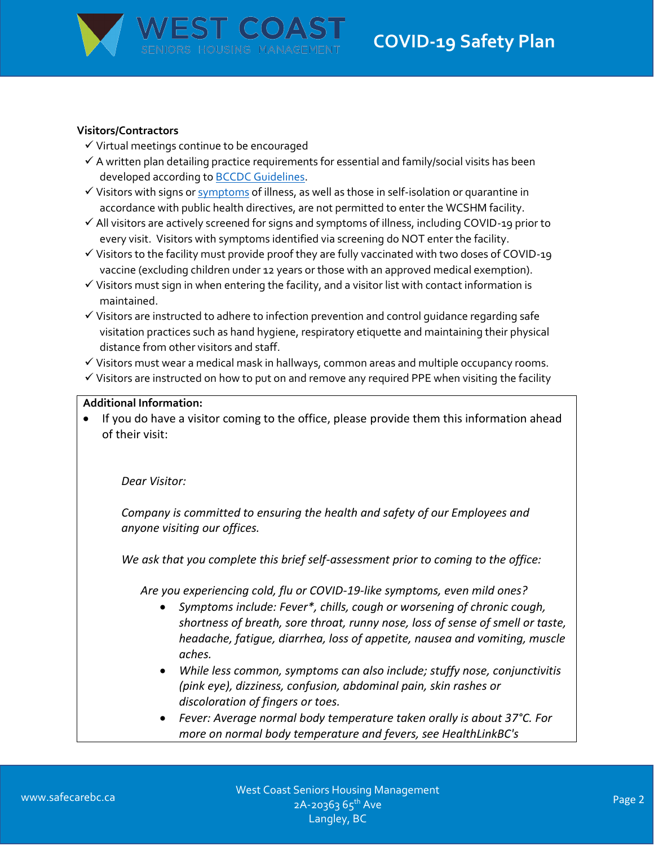

#### **Visitors/Contractors**

- $\checkmark$  Virtual meetings continue to be encouraged
- $\checkmark$  A written plan detailing practice requirements for essential and family/social visits has been developed according to [BCCDC Guidelines.](http://www.bccdc.ca/Health-Info-Site/Documents/Visitors_Long-Term_Care_Seniors_Assisted_Living.pdf)
- $\checkmark$  Visitors with signs o[r symptoms](http://www.bccdc.ca/health-info/diseases-conditions/covid-19/about-covid-19/symptoms) of illness, as well as those in self-isolation or quarantine in accordance with public health directives, are not permitted to enter the WCSHM facility.
- $\checkmark$  All visitors are actively screened for signs and symptoms of illness, including COVID-19 prior to every visit. Visitors with symptoms identified via screening do NOT enter the facility.
- $\checkmark$  Visitors to the facility must provide proof they are fully vaccinated with two doses of COVID-19 vaccine (excluding children under 12 years or those with an approved medical exemption).
- $\checkmark$  Visitors must sign in when entering the facility, and a visitor list with contact information is maintained.
- $\checkmark$  Visitors are instructed to adhere to infection prevention and control guidance regarding safe visitation practices such as hand hygiene, respiratory etiquette and maintaining their physical distance from other visitors and staff.
- $\checkmark$  Visitors must wear a medical mask in hallways, common areas and multiple occupancy rooms.
- $\checkmark$  Visitors are instructed on how to put on and remove any required PPE when visiting the facility

#### **Additional Information:**

 If you do have a visitor coming to the office, please provide them this information ahead of their visit:

*Dear Visitor:*

*Company is committed to ensuring the health and safety of our Employees and anyone visiting our offices.* 

*We ask that you complete this brief self-assessment prior to coming to the office:*

*Are you experiencing cold, flu or COVID-19-like symptoms, even mild ones?*

- *Symptoms include: Fever\*, chills, cough or worsening of chronic cough, shortness of breath, sore throat, runny nose, loss of sense of smell or taste, headache, fatigue, diarrhea, loss of appetite, nausea and vomiting, muscle aches.*
- *While less common, symptoms can also include; stuffy nose, conjunctivitis (pink eye), dizziness, confusion, abdominal pain, skin rashes or discoloration of fingers or toes.*
- *Fever: Average normal body temperature taken orally is about 37°C. For more on normal body temperature and fevers, see HealthLinkBC's*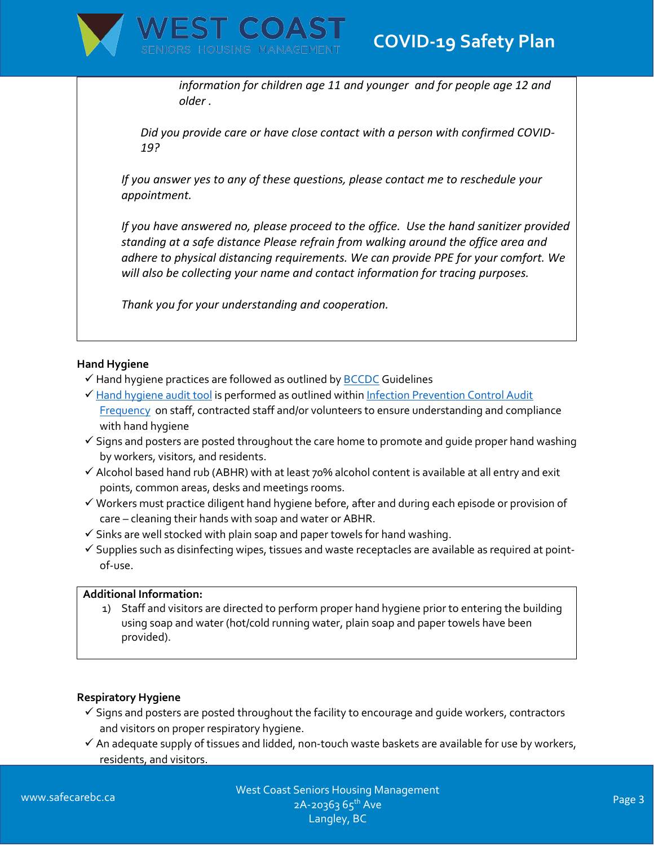

*information for [children age 11 and younger](https://www.healthlinkbc.ca/health-topics/fevr3) and for [people age 12 and](https://www.healthlinkbc.ca/health-topics/fevr4)  [older](https://www.healthlinkbc.ca/health-topics/fevr4) .*

*Did you provide care or have close contact with a person with confirmed COVID-19?*

*If you answer yes to any of these questions, please contact me to reschedule your appointment.* 

*If you have answered no, please proceed to the office. Use the hand sanitizer provided standing at a safe distance Please refrain from walking around the office area and adhere to physical distancing requirements. We can provide PPE for your comfort. We will also be collecting your name and contact information for tracing purposes.*

*Thank you for your understanding and cooperation.*

## **Hand Hygiene**

- $\checkmark$  Hand hygiene practices are followed as outlined by **BCCDC** Guidelines
- [Hand hygiene audit tool](file://///rc-file/public/COVID19/-%20COVID%20in%20a%20Box/Audits/Hand%20Hygiene%20Audit%20Tool.pdf) is performed as outlined within Infection Prevention Control Audit [Frequency](file://///rc-file/public/COVID19/-%20COVID%20in%20a%20Box/Audits/WCSHM%20Infection%20Prevention%20Control%20Audit%20Frequency.pdf) on staff, contracted staff and/or volunteers to ensure understanding and compliance with hand hygiene
- $\checkmark$  Signs and posters are posted throughout the care home to promote and guide proper hand washing by workers, visitors, and residents.
- $\checkmark$  Alcohol based hand rub (ABHR) with at least 70% alcohol content is available at all entry and exit points, common areas, desks and meetings rooms.
- $\checkmark$  Workers must practice diligent hand hygiene before, after and during each episode or provision of care – cleaning their hands with soap and water or ABHR.
- $\checkmark$  Sinks are well stocked with plain soap and paper towels for hand washing.
- $\checkmark$  Supplies such as disinfecting wipes, tissues and waste receptacles are available as required at pointof-use.

#### **Additional Information:**

1) Staff and visitors are directed to perform proper hand hygiene prior to entering the building using soap and water (hot/cold running water, plain soap and paper towels have been provided).

## **Respiratory Hygiene**

- $\checkmark$  Signs and posters are posted throughout the facility to encourage and guide workers, contractors and visitors on proper respiratory hygiene.
- $\checkmark$  An adequate supply of tissues and lidded, non-touch waste baskets are available for use by workers, residents, and visitors.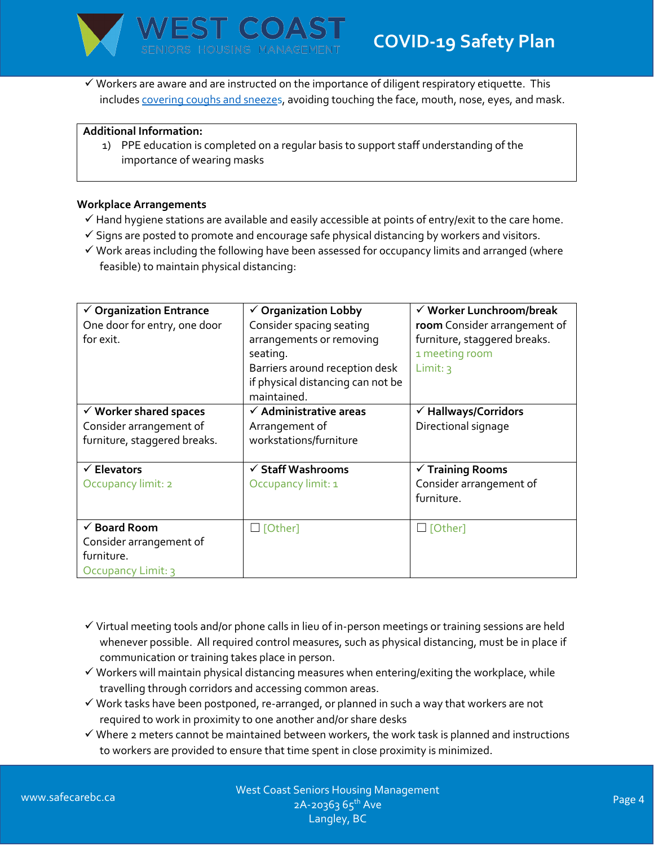

 $\checkmark$  Workers are aware and are instructed on the importance of diligent respiratory etiquette. This include[s covering coughs and sneezes](file://///rc-file/public/Corporate%20Education/Education/COVID-19/Posters/Cover%20Your%20Cough.pdf), avoiding touching the face, mouth, nose, eyes, and mask.

#### **Additional Information:**

1) PPE education is completed on a regular basis to support staff understanding of the importance of wearing masks

#### **Workplace Arrangements**

- $\checkmark$  Hand hygiene stations are available and easily accessible at points of entry/exit to the care home.
- $\checkmark$  Signs are posted to promote and encourage safe physical distancing by workers and visitors.
- $\checkmark$  Work areas including the following have been assessed for occupancy limits and arranged (where feasible) to maintain physical distancing:

| $\checkmark$ Organization Entrance | $\checkmark$ Organization Lobby   | √ Worker Lunchroom/break        |
|------------------------------------|-----------------------------------|---------------------------------|
| One door for entry, one door       | Consider spacing seating          | room Consider arrangement of    |
| for exit.                          | arrangements or removing          | furniture, staggered breaks.    |
|                                    | seating.                          | 1 meeting room                  |
|                                    | Barriers around reception desk    | Limit: $3$                      |
|                                    | if physical distancing can not be |                                 |
|                                    | maintained.                       |                                 |
| $\checkmark$ Worker shared spaces  | $\checkmark$ Administrative areas | $\checkmark$ Hallways/Corridors |
| Consider arrangement of            | Arrangement of                    | Directional signage             |
| furniture, staggered breaks.       | workstations/furniture            |                                 |
|                                    |                                   |                                 |
| $\checkmark$ Elevators             | $\checkmark$ Staff Washrooms      | $\checkmark$ Training Rooms     |
| Occupancy limit: 2                 | Occupancy limit: 1                | Consider arrangement of         |
|                                    |                                   | furniture.                      |
|                                    |                                   |                                 |
| $\checkmark$ Board Room            | $\Box$ [Other]                    | $\Box$ [Other]                  |
| Consider arrangement of            |                                   |                                 |
| furniture.                         |                                   |                                 |
| Occupancy Limit: 3                 |                                   |                                 |

- $\checkmark$  Virtual meeting tools and/or phone calls in lieu of in-person meetings or training sessions are held whenever possible. All required control measures, such as physical distancing, must be in place if communication or training takes place in person.
- $\checkmark$  Workers will maintain physical distancing measures when entering/exiting the workplace, while travelling through corridors and accessing common areas.
- $\checkmark$  Work tasks have been postponed, re-arranged, or planned in such a way that workers are not required to work in proximity to one another and/or share desks
- $\checkmark$  Where 2 meters cannot be maintained between workers, the work task is planned and instructions to workers are provided to ensure that time spent in close proximity is minimized.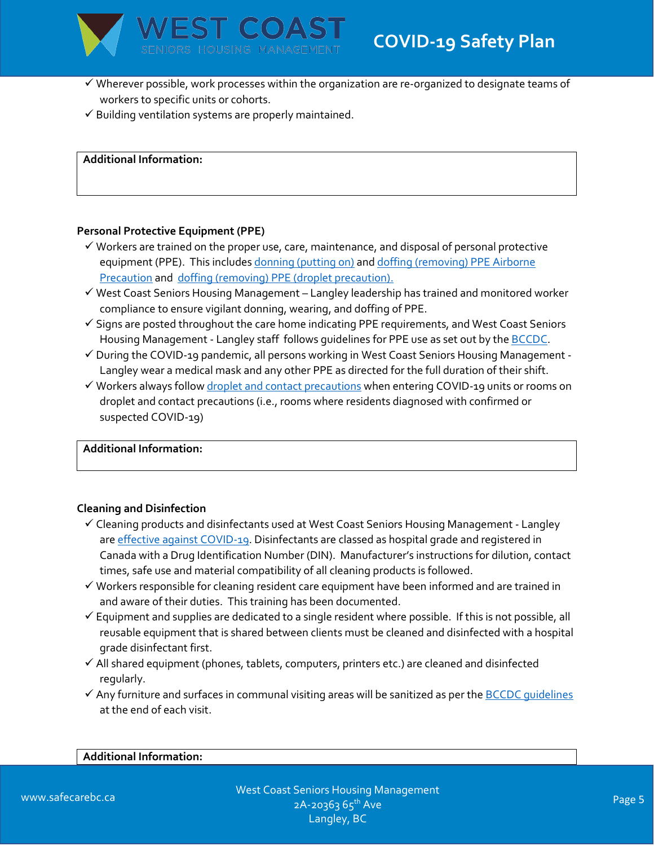

- $\checkmark$  Wherever possible, work processes within the organization are re-organized to designate teams of workers to specific units or cohorts.
- $\checkmark$  Building ventilation systems are properly maintained.

**Additional Information:**

#### **Personal Protective Equipment (PPE)**

- $\checkmark$  Workers are trained on the proper use, care, maintenance, and disposal of personal protective equipment (PPE). This includes donning [\(putting on\)](file://///rc-file/users/mwipf/COVID%20Protocols/Exposure%20Control/COVID%20Don%20PPE.pdf) and doffing (removing) PPE Airborne [Precaution](file://///rc-file/users/mwipf/COVID%20Protocols/Exposure%20Control/COVID%2019%20Doff%20PPE%20for%20Airborne%20Precautions.pdf) and doffing (removing) PPE [\(droplet precaution\).](file://///rc-file/users/mwipf/COVID%20Protocols/Exposure%20Control/COVID%20Doff%20PPE%20for%20Droplet%20and%20Contact%20Precautions.pdf)
- $\checkmark$  West Coast Seniors Housing Management Langley leadership has trained and monitored worker compliance to ensure vigilant donning, wearing, and doffing of PPE.
- $\checkmark$  Signs are posted throughout the care home indicating PPE requirements, and West Coast Seniors Housing Management - Langley staff follows guidelines for PPE use as set out by the **BCCDC**.
- $\checkmark$  During the COVID-19 pandemic, all persons working in West Coast Seniors Housing Management -Langley wear a medical mask and any other PPE as directed for the full duration of their shift.
- $\checkmark$  Workers always follow [droplet and contact precautions](file://///rc-file/public/Corporate%20Education/Education/COVID-19/Contact%20and%20Droplet%20Precautions.pdf) when entering COVID-19 units or rooms on droplet and contact precautions (i.e., rooms where residents diagnosed with confirmed or suspected COVID-19)

**Additional Information:** 

#### **Cleaning and Disinfection**

- $\checkmark$  Cleaning products and disinfectants used at West Coast Seniors Housing Management Langley are [effective against COVID-19.](http://www.bccdc.ca/Health-Professionals-Site/Documents/COVID-19_MOH_BCCDC_EnvironmentalCleaning.pdf) Disinfectants are classed as hospital grade and registered in Canada with a Drug Identification Number (DIN). Manufacturer's instructions for dilution, contact times, safe use and material compatibility of all cleaning products is followed.
- $\checkmark$  Workers responsible for cleaning resident care equipment have been informed and are trained in and aware of their duties. This training has been documented.
- $\checkmark$  Equipment and supplies are dedicated to a single resident where possible. If this is not possible, all reusable equipment that is shared between clients must be cleaned and disinfected with a hospital grade disinfectant first.
- $\checkmark$  All shared equipment (phones, tablets, computers, printers etc.) are cleaned and disinfected regularly.
- $\checkmark$  Any furniture and surfaces in communal visiting areas will be sanitized as per the BCCDC quidelines at the end of each visit.

#### **Additional Information:**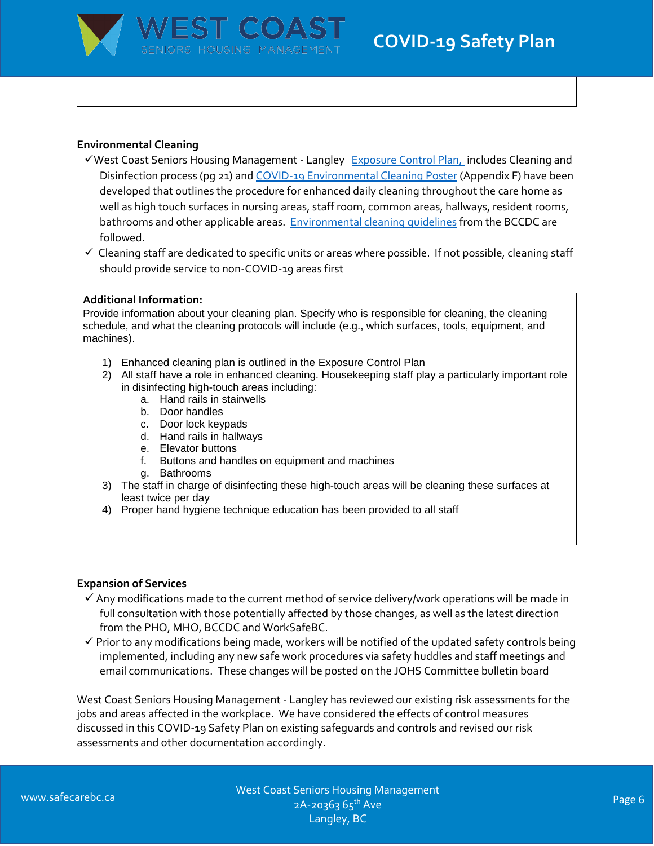

#### **Environmental Cleaning**

- √West Coast Seniors Housing Management Langley [Exposure Control Plan,](file://///rc-file/public/COVID19/-%20COVID%20in%20a%20Box/Safety%20Plans/WCSHM%20-%20Exposure%20Control%20Plan%20-%20April%2015,%202020.pdf) includes Cleaning and Disinfection process (pg 21) an[d COVID-19 Environmental Cleaning Poster](file://///rc-file/users/mwipf/COVID%20Protocols/Exposure%20Control/Appendix%20F%20Environmental%20Cleaning%20Poster.PNG) (Appendix F) have been developed that outlines the procedure for enhanced daily cleaning throughout the care home as well as high touch surfaces in nursing areas, staff room, common areas, hallways, resident rooms, bathrooms and other applicable areas. Environmental cleaning quidelines from the BCCDC are followed.
- $\checkmark$  Cleaning staff are dedicated to specific units or areas where possible. If not possible, cleaning staff should provide service to non-COVID-19 areas first

#### **Additional Information:**

Provide information about your cleaning plan. Specify who is responsible for cleaning, the cleaning schedule, and what the cleaning protocols will include (e.g., which surfaces, tools, equipment, and machines).

- 1) Enhanced cleaning plan is outlined in the Exposure Control Plan
- 2) All staff have a role in enhanced cleaning. Housekeeping staff play a particularly important role in disinfecting high-touch areas including:
	- a. Hand rails in stairwells
	- b. Door handles
	- c. Door lock keypads
	- d. Hand rails in hallways
	- e. Elevator buttons
	- f. Buttons and handles on equipment and machines
	- g. Bathrooms
- 3) The staff in charge of disinfecting these high-touch areas will be cleaning these surfaces at least twice per day
- 4) Proper hand hygiene technique education has been provided to all staff

#### **Expansion of Services**

- $\checkmark$  Any modifications made to the current method of service delivery/work operations will be made in full consultation with those potentially affected by those changes, as well as the latest direction from the PHO, MHO, BCCDC and WorkSafeBC.
- $\checkmark$  Prior to any modifications being made, workers will be notified of the updated safety controls being implemented, including any new safe work procedures via safety huddles and staff meetings and email communications. These changes will be posted on the JOHS Committee bulletin board

West Coast Seniors Housing Management - Langley has reviewed our existing risk assessments for the jobs and areas affected in the workplace. We have considered the effects of control measures discussed in this COVID-19 Safety Plan on existing safeguards and controls and revised our risk assessments and other documentation accordingly.